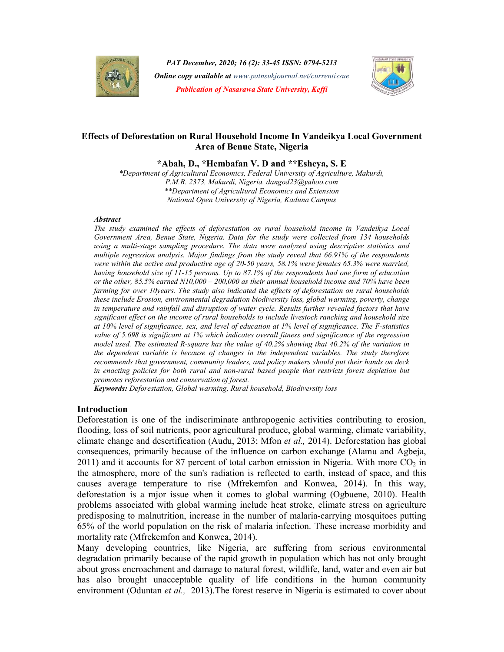

PAT December, 2020; 16 (2): 33-45 ISSN: 0794-5213 **Online copy available at** www.patnsukjournal.net/currentissue Publication of Nasarawa State University, Keffi



# Effects of Deforestation on Rural Household Income In Vandeikya Local Government Area of Benue State, Nigeria

\*Abah, D., \*Hembafan V. D and \*\*Esheya, S. E

\*Department of Agricultural Economics, Federal University of Agriculture, Makurdi, P.M.B. 2373, Makurdi, Nigeria. dangod23@yahoo.com \*\*Department of Agricultural Economics and Extension National Open University of Nigeria, Kaduna Campus

### **Abstract**

The study examined the effects of deforestation on rural household income in Vandeikya Local Government Area, Benue State, Nigeria. Data for the study were collected from 134 households using a multi-stage sampling procedure. The data were analyzed using descriptive statistics and multiple regression analysis. Major findings from the study reveal that 66.91% of the respondents were within the active and productive age of 20-50 years, 58.1% were females 65.3% were married, having household size of 11-15 persons. Up to 87.1% of the respondents had one form of education or the other, 85.5% earned N10,000 – 200,000 as their annual household income and 70% have been farming for over 10years. The study also indicated the effects of deforestation on rural households these include Erosion, environmental degradation biodiversity loss, global warming, poverty, change in temperature and rainfall and disruption of water cycle. Results further revealed factors that have significant effect on the income of rural households to include livestock ranching and household size at 10% level of significance, sex, and level of education at 1% level of significance. The F-statistics value of 5.698 is significant at 1% which indicates overall fitness and significance of the regression model used. The estimated R-square has the value of  $40.2\%$  showing that  $40.2\%$  of the variation in the dependent variable is because of changes in the independent variables. The study therefore recommends that government, community leaders, and policy makers should put their hands on deck in enacting policies for both rural and non-rural based people that restricts forest depletion but promotes reforestation and conservation of forest.

Keywords: Deforestation, Global warming, Rural household, Biodiversity loss

# Introduction

Deforestation is one of the indiscriminate anthropogenic activities contributing to erosion, flooding, loss of soil nutrients, poor agricultural produce, global warming, climate variability, climate change and desertification (Audu, 2013; Mfon et al., 2014). Deforestation has global consequences, primarily because of the influence on carbon exchange (Alamu and Agbeja, 2011) and it accounts for 87 percent of total carbon emission in Nigeria. With more  $CO<sub>2</sub>$  in the atmosphere, more of the sun's radiation is reflected to earth, instead of space, and this causes average temperature to rise (Mfrekemfon and Konwea, 2014). In this way, deforestation is a mjor issue when it comes to global warming (Ogbuene, 2010). Health problems associated with global warming include heat stroke, climate stress on agriculture predisposing to malnutrition, increase in the number of malaria-carrying mosquitoes putting 65% of the world population on the risk of malaria infection. These increase morbidity and mortality rate (Mfrekemfon and Konwea, 2014).

Many developing countries, like Nigeria, are suffering from serious environmental degradation primarily because of the rapid growth in population which has not only brought about gross encroachment and damage to natural forest, wildlife, land, water and even air but has also brought unacceptable quality of life conditions in the human community environment (Oduntan *et al.,* 2013). The forest reserve in Nigeria is estimated to cover about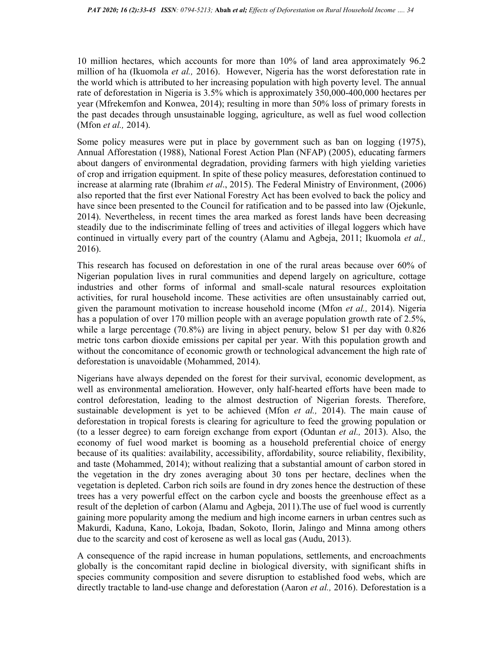10 million hectares, which accounts for more than 10% of land area approximately 96.2 million of ha (Ikuomola et al., 2016). However, Nigeria has the worst deforestation rate in the world which is attributed to her increasing population with high poverty level. The annual rate of deforestation in Nigeria is 3.5% which is approximately 350,000-400,000 hectares per year (Mfrekemfon and Konwea, 2014); resulting in more than 50% loss of primary forests in the past decades through unsustainable logging, agriculture, as well as fuel wood collection (Mfon et al., 2014).

Some policy measures were put in place by government such as ban on logging (1975), Annual Afforestation (1988), National Forest Action Plan (NFAP) (2005), educating farmers about dangers of environmental degradation, providing farmers with high yielding varieties of crop and irrigation equipment. In spite of these policy measures, deforestation continued to increase at alarming rate (Ibrahim et al., 2015). The Federal Ministry of Environment, (2006) also reported that the first ever National Forestry Act has been evolved to back the policy and have since been presented to the Council for ratification and to be passed into law (Ojekunle, 2014). Nevertheless, in recent times the area marked as forest lands have been decreasing steadily due to the indiscriminate felling of trees and activities of illegal loggers which have continued in virtually every part of the country (Alamu and Agbeja, 2011; Ikuomola et al., 2016).

This research has focused on deforestation in one of the rural areas because over 60% of Nigerian population lives in rural communities and depend largely on agriculture, cottage industries and other forms of informal and small-scale natural resources exploitation activities, for rural household income. These activities are often unsustainably carried out, given the paramount motivation to increase household income (Mfon *et al.*, 2014). Nigeria has a population of over 170 million people with an average population growth rate of 2.5%, while a large percentage (70.8%) are living in abject penury, below \$1 per day with 0.826 metric tons carbon dioxide emissions per capital per year. With this population growth and without the concomitance of economic growth or technological advancement the high rate of deforestation is unavoidable (Mohammed, 2014).

Nigerians have always depended on the forest for their survival, economic development, as well as environmental amelioration. However, only half-hearted efforts have been made to control deforestation, leading to the almost destruction of Nigerian forests. Therefore, sustainable development is yet to be achieved (Mfon *et al.*, 2014). The main cause of deforestation in tropical forests is clearing for agriculture to feed the growing population or (to a lesser degree) to earn foreign exchange from export (Oduntan *et al.*, 2013). Also, the economy of fuel wood market is booming as a household preferential choice of energy because of its qualities: availability, accessibility, affordability, source reliability, flexibility, and taste (Mohammed, 2014); without realizing that a substantial amount of carbon stored in the vegetation in the dry zones averaging about 30 tons per hectare, declines when the vegetation is depleted. Carbon rich soils are found in dry zones hence the destruction of these trees has a very powerful effect on the carbon cycle and boosts the greenhouse effect as a result of the depletion of carbon (Alamu and Agbeja, 2011).The use of fuel wood is currently gaining more popularity among the medium and high income earners in urban centres such as Makurdi, Kaduna, Kano, Lokoja, Ibadan, Sokoto, Ilorin, Jalingo and Minna among others due to the scarcity and cost of kerosene as well as local gas (Audu, 2013).

A consequence of the rapid increase in human populations, settlements, and encroachments globally is the concomitant rapid decline in biological diversity, with significant shifts in species community composition and severe disruption to established food webs, which are directly tractable to land-use change and deforestation (Aaron *et al.*, 2016). Deforestation is a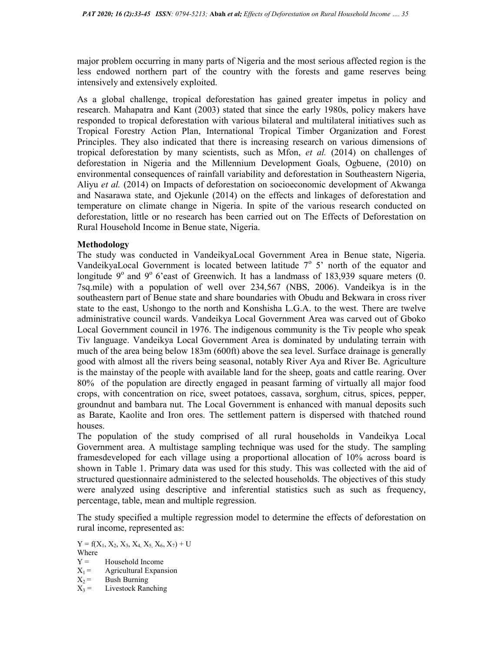major problem occurring in many parts of Nigeria and the most serious affected region is the less endowed northern part of the country with the forests and game reserves being intensively and extensively exploited.

As a global challenge, tropical deforestation has gained greater impetus in policy and research. Mahapatra and Kant (2003) stated that since the early 1980s, policy makers have responded to tropical deforestation with various bilateral and multilateral initiatives such as Tropical Forestry Action Plan, International Tropical Timber Organization and Forest Principles. They also indicated that there is increasing research on various dimensions of tropical deforestation by many scientists, such as Mfon, et al. (2014) on challenges of deforestation in Nigeria and the Millennium Development Goals, Ogbuene, (2010) on environmental consequences of rainfall variability and deforestation in Southeastern Nigeria, Aliyu et al. (2014) on Impacts of deforestation on socioeconomic development of Akwanga and Nasarawa state, and Ojekunle (2014) on the effects and linkages of deforestation and temperature on climate change in Nigeria. In spite of the various research conducted on deforestation, little or no research has been carried out on The Effects of Deforestation on Rural Household Income in Benue state, Nigeria.

### Methodology

The study was conducted in VandeikyaLocal Government Area in Benue state, Nigeria. VandeikyaLocal Government is located between latitude  $7^\circ$  5' north of the equator and longitude  $9^{\circ}$  and  $9^{\circ}$  6'east of Greenwich. It has a landmass of 183,939 square meters (0. 7sq.mile) with a population of well over 234,567 (NBS, 2006). Vandeikya is in the southeastern part of Benue state and share boundaries with Obudu and Bekwara in cross river state to the east, Ushongo to the north and Konshisha L.G.A. to the west. There are twelve administrative council wards. Vandeikya Local Government Area was carved out of Gboko Local Government council in 1976. The indigenous community is the Tiv people who speak Tiv language. Vandeikya Local Government Area is dominated by undulating terrain with much of the area being below 183m (600ft) above the sea level. Surface drainage is generally good with almost all the rivers being seasonal, notably River Aya and River Be. Agriculture is the mainstay of the people with available land for the sheep, goats and cattle rearing. Over 80% of the population are directly engaged in peasant farming of virtually all major food crops, with concentration on rice, sweet potatoes, cassava, sorghum, citrus, spices, pepper, groundnut and bambara nut. The Local Government is enhanced with manual deposits such as Barate, Kaolite and Iron ores. The settlement pattern is dispersed with thatched round houses.

The population of the study comprised of all rural households in Vandeikya Local Government area. A multistage sampling technique was used for the study. The sampling framesdeveloped for each village using a proportional allocation of 10% across board is shown in Table 1. Primary data was used for this study. This was collected with the aid of structured questionnaire administered to the selected households. The objectives of this study were analyzed using descriptive and inferential statistics such as such as frequency, percentage, table, mean and multiple regression.

The study specified a multiple regression model to determine the effects of deforestation on rural income, represented as:

- $X_2$  = Bush Burning<br> $X_3$  = Livestock Ran
- Livestock Ranching

 $Y = f(X_1, X_2, X_3, X_4, X_5, X_6, X_7) + U$ 

Where

 $Y =$  Household Income<br> $X_1 =$  Agricultural Expan

 $X_1 =$  Agricultural Expansion<br> $X_2 =$  Bush Burning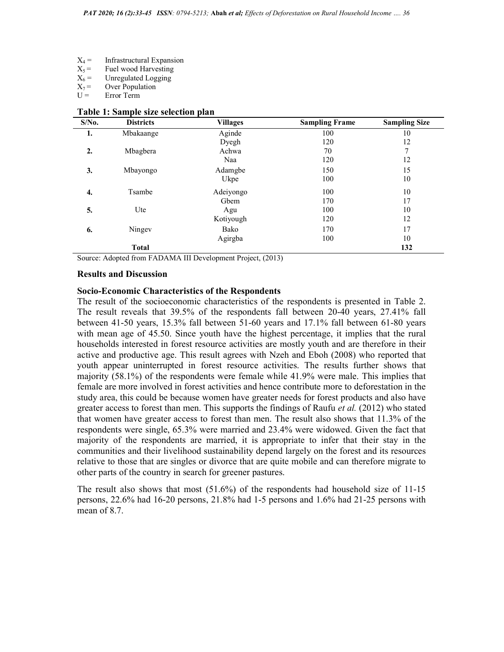- $X_4$  = Infrastructural Expansion<br> $X_5$  = Fuel wood Harvesting
- $X_5$  = Fuel wood Harvesting<br> $X_6$  = Unregulated Logging
- $X_6$  = Unregulated Logging<br> $X_7$  = Over Population
- $X_7$  = Over Population<br>U = Error Term
- Error Term

| $S/N0$ . | <b>Districts</b> | <b>Villages</b> | <b>Sampling Frame</b> | <b>Sampling Size</b> |
|----------|------------------|-----------------|-----------------------|----------------------|
| 1.       | Mbakaange        | Aginde          | 100                   | 10                   |
|          |                  | Dyegh           | 120                   | 12                   |
| 2.       | Mbagbera         | Achwa           | 70                    | 7                    |
|          |                  | Naa             | 120                   | 12                   |
| 3.       | Mbayongo         | Adamgbe         | 150                   | 15                   |
|          |                  | Ukpe            | 100                   | 10                   |
| 4.       | Tsambe           | Adeiyongo       | 100                   | 10                   |
|          |                  | Gbem            | 170                   | 17                   |
| 5.       | Ute              | Agu             | 100                   | 10                   |
|          |                  | Kotiyough       | 120                   | 12                   |
| 6.       | Ningev           | Bako            | 170                   | 17                   |
|          |                  | Agirgba         | 100                   | 10                   |
|          | <b>Total</b>     |                 |                       | 132                  |

### Table 1: Sample size selection plan

Source: Adopted from FADAMA III Development Project, (2013)

### Results and Discussion

### Socio-Economic Characteristics of the Respondents

The result of the socioeconomic characteristics of the respondents is presented in Table 2. The result reveals that 39.5% of the respondents fall between 20-40 years, 27.41% fall between 41-50 years, 15.3% fall between 51-60 years and 17.1% fall between 61-80 years with mean age of 45.50. Since youth have the highest percentage, it implies that the rural households interested in forest resource activities are mostly youth and are therefore in their active and productive age. This result agrees with Nzeh and Eboh (2008) who reported that youth appear uninterrupted in forest resource activities. The results further shows that majority (58.1%) of the respondents were female while 41.9% were male. This implies that female are more involved in forest activities and hence contribute more to deforestation in the study area, this could be because women have greater needs for forest products and also have greater access to forest than men. This supports the findings of Raufu *et al.* (2012) who stated that women have greater access to forest than men. The result also shows that 11.3% of the respondents were single, 65.3% were married and 23.4% were widowed. Given the fact that majority of the respondents are married, it is appropriate to infer that their stay in the communities and their livelihood sustainability depend largely on the forest and its resources relative to those that are singles or divorce that are quite mobile and can therefore migrate to other parts of the country in search for greener pastures.

The result also shows that most (51.6%) of the respondents had household size of 11-15 persons, 22.6% had 16-20 persons, 21.8% had 1-5 persons and 1.6% had 21-25 persons with mean of 8.7.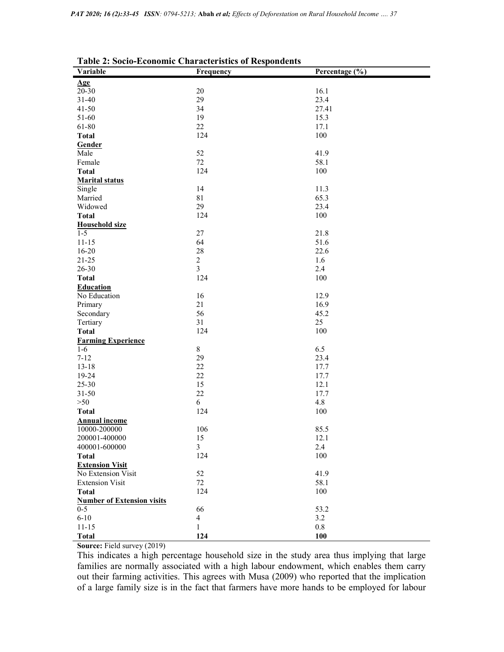| Variable                          | <b>Table 2: Socio-Economic Characteristics of Respondents</b> | Percentage (%) |
|-----------------------------------|---------------------------------------------------------------|----------------|
|                                   | Frequency                                                     |                |
| Age                               |                                                               |                |
| $20 - 30$<br>$31 - 40$            | $20\,$<br>29                                                  | 16.1<br>23.4   |
| $41 - 50$                         | 34                                                            | 27.41          |
| 51-60                             | 19                                                            | 15.3           |
| 61-80                             | 22                                                            | 17.1           |
| <b>Total</b>                      | 124                                                           | 100            |
| Gender                            |                                                               |                |
| Male                              | 52                                                            | 41.9           |
| Female                            | 72                                                            | 58.1           |
| <b>Total</b>                      | 124                                                           | 100            |
| <b>Marital status</b>             |                                                               |                |
| Single                            | 14                                                            | 11.3           |
| Married                           | 81                                                            | 65.3           |
| Widowed                           | 29                                                            | 23.4           |
| <b>Total</b>                      | 124                                                           | 100            |
| <b>Household size</b>             |                                                               |                |
| $1 - 5$                           | 27                                                            | 21.8           |
| $11 - 15$                         | 64                                                            | 51.6           |
| $16 - 20$                         | 28                                                            | 22.6           |
| $21 - 25$                         | $\overline{2}$                                                | 1.6            |
| 26-30                             | $\overline{3}$                                                | 2.4            |
| <b>Total</b>                      | 124                                                           | 100            |
| <b>Education</b>                  |                                                               |                |
| No Education                      | 16                                                            | 12.9           |
| Primary                           | 21                                                            | 16.9           |
| Secondary                         | 56                                                            | 45.2           |
| Tertiary                          | 31                                                            | 25             |
| <b>Total</b>                      | 124                                                           | 100            |
| <b>Farming Experience</b>         |                                                               |                |
| $1-6$                             | $8\,$                                                         | 6.5            |
| $7 - 12$                          | 29                                                            | 23.4           |
| $13 - 18$                         | 22                                                            | 17.7           |
| 19-24                             | 22                                                            | 17.7           |
| 25-30                             | 15                                                            | 12.1           |
| $31 - 50$                         | $22\,$                                                        | 17.7           |
| >50                               | 6                                                             | 4.8            |
| <b>Total</b>                      | 124                                                           | 100            |
| <b>Annual income</b>              |                                                               |                |
| 10000-200000                      | 106                                                           | 85.5           |
| 200001-400000                     | 15                                                            | 12.1           |
| 400001-600000                     | $\overline{3}$                                                | 2.4            |
| <b>Total</b>                      | 124                                                           | 100            |
| <b>Extension Visit</b>            |                                                               |                |
| No Extension Visit                | 52                                                            | 41.9           |
| <b>Extension Visit</b>            | 72                                                            | 58.1           |
| <b>Total</b>                      | 124                                                           | 100            |
| <b>Number of Extension visits</b> |                                                               |                |
| $0 - 5$                           | 66                                                            | 53.2           |
| $6 - 10$                          | $\overline{4}$                                                | 3.2            |
| $11 - 15$                         | $\mathbf{1}$                                                  | 0.8            |
| <b>Total</b>                      | 124                                                           | 100            |

Source: Field survey (2019)

This indicates a high percentage household size in the study area thus implying that large families are normally associated with a high labour endowment, which enables them carry out their farming activities. This agrees with Musa (2009) who reported that the implication of a large family size is in the fact that farmers have more hands to be employed for labour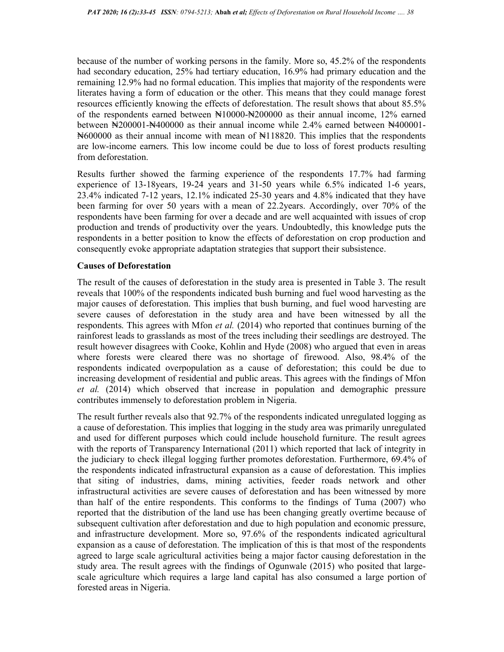because of the number of working persons in the family. More so, 45.2% of the respondents had secondary education, 25% had tertiary education, 16.9% had primary education and the remaining 12.9% had no formal education. This implies that majority of the respondents were literates having a form of education or the other. This means that they could manage forest resources efficiently knowing the effects of deforestation. The result shows that about 85.5% of the respondents earned between ₦10000-₦200000 as their annual income, 12% earned between  $\yen$ 200001- $\yen$ 400000 as their annual income while 2.4% earned between  $\yen$ 400001- $\text{H}_0$ 600000 as their annual income with mean of  $\text{H}_1$ 18820. This implies that the respondents are low-income earners. This low income could be due to loss of forest products resulting from deforestation.

Results further showed the farming experience of the respondents 17.7% had farming experience of 13-18years, 19-24 years and 31-50 years while 6.5% indicated 1-6 years, 23.4% indicated 7-12 years, 12.1% indicated 25-30 years and 4.8% indicated that they have been farming for over 50 years with a mean of 22.2years. Accordingly, over 70% of the respondents have been farming for over a decade and are well acquainted with issues of crop production and trends of productivity over the years. Undoubtedly, this knowledge puts the respondents in a better position to know the effects of deforestation on crop production and consequently evoke appropriate adaptation strategies that support their subsistence.

### Causes of Deforestation

The result of the causes of deforestation in the study area is presented in Table 3. The result reveals that 100% of the respondents indicated bush burning and fuel wood harvesting as the major causes of deforestation. This implies that bush burning, and fuel wood harvesting are severe causes of deforestation in the study area and have been witnessed by all the respondents. This agrees with Mfon *et al.* (2014) who reported that continues burning of the rainforest leads to grasslands as most of the trees including their seedlings are destroyed. The result however disagrees with Cooke, Kohlin and Hyde (2008) who argued that even in areas where forests were cleared there was no shortage of firewood. Also, 98.4% of the respondents indicated overpopulation as a cause of deforestation; this could be due to increasing development of residential and public areas. This agrees with the findings of Mfon et al. (2014) which observed that increase in population and demographic pressure contributes immensely to deforestation problem in Nigeria.

The result further reveals also that 92.7% of the respondents indicated unregulated logging as a cause of deforestation. This implies that logging in the study area was primarily unregulated and used for different purposes which could include household furniture. The result agrees with the reports of Transparency International (2011) which reported that lack of integrity in the judiciary to check illegal logging further promotes deforestation. Furthermore, 69.4% of the respondents indicated infrastructural expansion as a cause of deforestation. This implies that siting of industries, dams, mining activities, feeder roads network and other infrastructural activities are severe causes of deforestation and has been witnessed by more than half of the entire respondents. This conforms to the findings of Tuma (2007) who reported that the distribution of the land use has been changing greatly overtime because of subsequent cultivation after deforestation and due to high population and economic pressure, and infrastructure development. More so, 97.6% of the respondents indicated agricultural expansion as a cause of deforestation. The implication of this is that most of the respondents agreed to large scale agricultural activities being a major factor causing deforestation in the study area. The result agrees with the findings of Ogunwale (2015) who posited that largescale agriculture which requires a large land capital has also consumed a large portion of forested areas in Nigeria.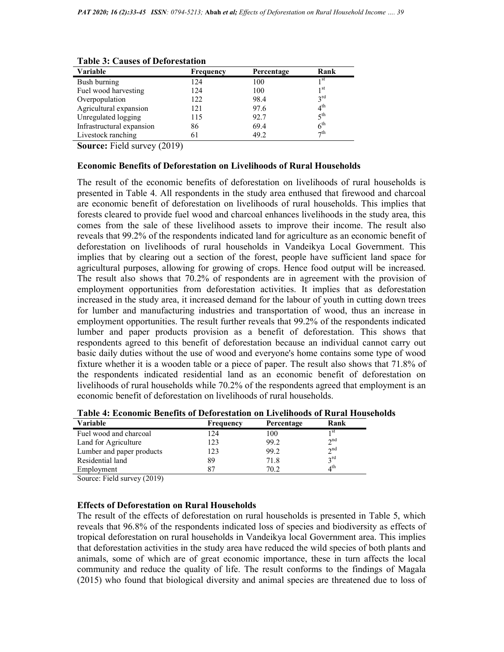| Variable                  | Frequency | Percentage | Rank            |
|---------------------------|-----------|------------|-----------------|
| Bush burning              | 124       | 100        | 1 <sup>st</sup> |
| Fuel wood harvesting      | 124       | 100        | 1 <sup>st</sup> |
| Overpopulation            | 122       | 98.4       | $3^{\text{rd}}$ |
| Agricultural expansion    | 121       | 97.6       | 4 <sup>th</sup> |
| Unregulated logging       | 115       | 92.7       | 5 <sup>th</sup> |
| Infrastructural expansion | 86        | 69.4       | $6^{\text{th}}$ |
| Livestock ranching        | 61        | 49.2       | $\neg$ th       |

Table 3: Causes of Deforestation

Source: Field survey (2019)

#### Economic Benefits of Deforestation on Livelihoods of Rural Households

The result of the economic benefits of deforestation on livelihoods of rural households is presented in Table 4. All respondents in the study area enthused that firewood and charcoal are economic benefit of deforestation on livelihoods of rural households. This implies that forests cleared to provide fuel wood and charcoal enhances livelihoods in the study area, this comes from the sale of these livelihood assets to improve their income. The result also reveals that 99.2% of the respondents indicated land for agriculture as an economic benefit of deforestation on livelihoods of rural households in Vandeikya Local Government. This implies that by clearing out a section of the forest, people have sufficient land space for agricultural purposes, allowing for growing of crops. Hence food output will be increased. The result also shows that 70.2% of respondents are in agreement with the provision of employment opportunities from deforestation activities. It implies that as deforestation increased in the study area, it increased demand for the labour of youth in cutting down trees for lumber and manufacturing industries and transportation of wood, thus an increase in employment opportunities. The result further reveals that 99.2% of the respondents indicated lumber and paper products provision as a benefit of deforestation. This shows that respondents agreed to this benefit of deforestation because an individual cannot carry out basic daily duties without the use of wood and everyone's home contains some type of wood fixture whether it is a wooden table or a piece of paper. The result also shows that 71.8% of the respondents indicated residential land as an economic benefit of deforestation on livelihoods of rural households while 70.2% of the respondents agreed that employment is an economic benefit of deforestation on livelihoods of rural households.

| <b>Variable</b>           | Frequency | Percentage | Rank            |
|---------------------------|-----------|------------|-----------------|
| Fuel wood and charcoal    | 24        | 100        | 1 St            |
| Land for Agriculture      | 123       | 99.2       | $\gamma$ nd     |
| Lumber and paper products | 123       | 99.2       | $\gamma$ nd     |
| Residential land          | 89        | 71.8       | $2^{\text{rd}}$ |
| Employment                | 87        | 70.2       | $4^{\text{th}}$ |

Table 4: Economic Benefits of Deforestation on Livelihoods of Rural Households

Source: Field survey (2019)

#### Effects of Deforestation on Rural Households

The result of the effects of deforestation on rural households is presented in Table 5, which reveals that 96.8% of the respondents indicated loss of species and biodiversity as effects of tropical deforestation on rural households in Vandeikya local Government area. This implies that deforestation activities in the study area have reduced the wild species of both plants and animals, some of which are of great economic importance, these in turn affects the local community and reduce the quality of life. The result conforms to the findings of Magala (2015) who found that biological diversity and animal species are threatened due to loss of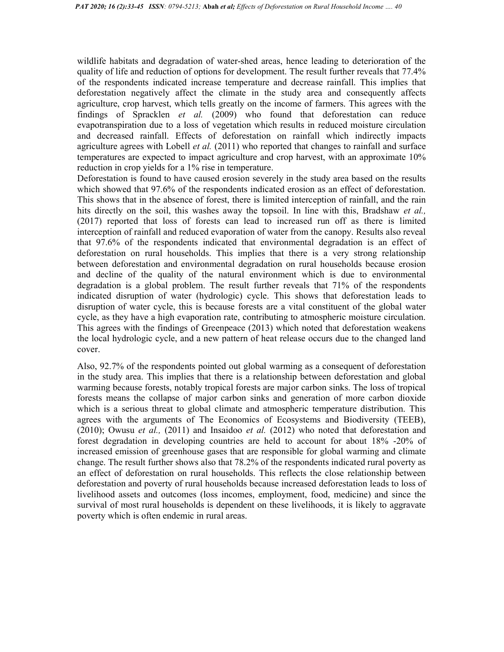wildlife habitats and degradation of water-shed areas, hence leading to deterioration of the quality of life and reduction of options for development. The result further reveals that 77.4% of the respondents indicated increase temperature and decrease rainfall. This implies that deforestation negatively affect the climate in the study area and consequently affects agriculture, crop harvest, which tells greatly on the income of farmers. This agrees with the findings of Spracklen et al. (2009) who found that deforestation can reduce evapotranspiration due to a loss of vegetation which results in reduced moisture circulation and decreased rainfall. Effects of deforestation on rainfall which indirectly impacts agriculture agrees with Lobell *et al.* (2011) who reported that changes to rainfall and surface temperatures are expected to impact agriculture and crop harvest, with an approximate 10% reduction in crop yields for a 1% rise in temperature.

Deforestation is found to have caused erosion severely in the study area based on the results which showed that 97.6% of the respondents indicated erosion as an effect of deforestation. This shows that in the absence of forest, there is limited interception of rainfall, and the rain hits directly on the soil, this washes away the topsoil. In line with this, Bradshaw *et al.*, (2017) reported that loss of forests can lead to increased run off as there is limited interception of rainfall and reduced evaporation of water from the canopy. Results also reveal that 97.6% of the respondents indicated that environmental degradation is an effect of deforestation on rural households. This implies that there is a very strong relationship between deforestation and environmental degradation on rural households because erosion and decline of the quality of the natural environment which is due to environmental degradation is a global problem. The result further reveals that 71% of the respondents indicated disruption of water (hydrologic) cycle. This shows that deforestation leads to disruption of water cycle, this is because forests are a vital constituent of the global water cycle, as they have a high evaporation rate, contributing to atmospheric moisture circulation. This agrees with the findings of Greenpeace (2013) which noted that deforestation weakens the local hydrologic cycle, and a new pattern of heat release occurs due to the changed land cover.

Also, 92.7% of the respondents pointed out global warming as a consequent of deforestation in the study area. This implies that there is a relationship between deforestation and global warming because forests, notably tropical forests are major carbon sinks. The loss of tropical forests means the collapse of major carbon sinks and generation of more carbon dioxide which is a serious threat to global climate and atmospheric temperature distribution. This agrees with the arguments of The Economics of Ecosystems and Biodiversity (TEEB),  $(2010)$ ; Owusu et al.,  $(2011)$  and Insaidoo et al.  $(2012)$  who noted that deforestation and forest degradation in developing countries are held to account for about 18% -20% of increased emission of greenhouse gases that are responsible for global warming and climate change. The result further shows also that 78.2% of the respondents indicated rural poverty as an effect of deforestation on rural households. This reflects the close relationship between deforestation and poverty of rural households because increased deforestation leads to loss of livelihood assets and outcomes (loss incomes, employment, food, medicine) and since the survival of most rural households is dependent on these livelihoods, it is likely to aggravate poverty which is often endemic in rural areas.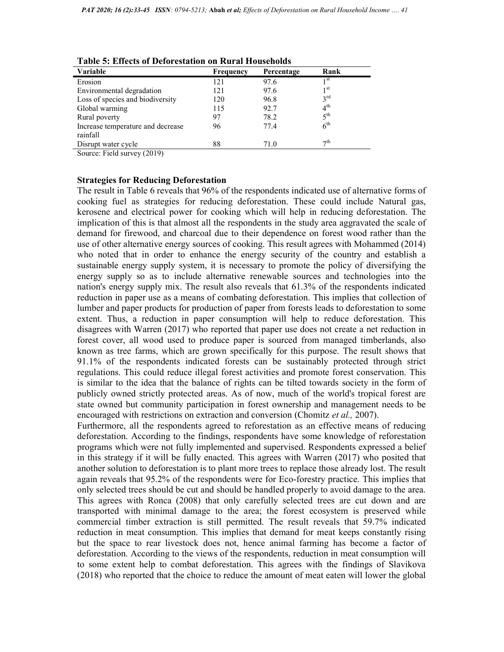| Variable                                      | <b>Frequency</b> | Percentage | Rank            |  |
|-----------------------------------------------|------------------|------------|-----------------|--|
| Erosion                                       | 121              | 97.6       | 1 <sup>st</sup> |  |
| Environmental degradation                     | 121              | 97.6       | 1 <sup>st</sup> |  |
| Loss of species and biodiversity              | 120              | 96.8       | $3^{\text{rd}}$ |  |
| Global warming                                | 115              | 92.7       | $4^{\text{th}}$ |  |
| Rural poverty                                 | 97               | 78.2       | $5^{\text{th}}$ |  |
| Increase temperature and decrease<br>rainfall | 96               | 77.4       | 6 <sup>th</sup> |  |
| Disrupt water cycle                           | 88               | 71.0       | $\tau$ th       |  |
| $C = \Gamma'$ 11 (3010)                       |                  |            |                 |  |

Table 5: Effects of Deforestation on Rural Households

Source: Field survey (2019)

### Strategies for Reducing Deforestation

The result in Table 6 reveals that 96% of the respondents indicated use of alternative forms of cooking fuel as strategies for reducing deforestation. These could include Natural gas, kerosene and electrical power for cooking which will help in reducing deforestation. The implication of this is that almost all the respondents in the study area aggravated the scale of demand for firewood, and charcoal due to their dependence on forest wood rather than the use of other alternative energy sources of cooking. This result agrees with Mohammed (2014) who noted that in order to enhance the energy security of the country and establish a sustainable energy supply system, it is necessary to promote the policy of diversifying the energy supply so as to include alternative renewable sources and technologies into the nation's energy supply mix. The result also reveals that 61.3% of the respondents indicated reduction in paper use as a means of combating deforestation. This implies that collection of lumber and paper products for production of paper from forests leads to deforestation to some extent. Thus, a reduction in paper consumption will help to reduce deforestation. This disagrees with Warren (2017) who reported that paper use does not create a net reduction in forest cover, all wood used to produce paper is sourced from managed timberlands, also known as tree farms, which are grown specifically for this purpose. The result shows that 91.1% of the respondents indicated forests can be sustainably protected through strict regulations. This could reduce illegal forest activities and promote forest conservation. This is similar to the idea that the balance of rights can be tilted towards society in the form of publicly owned strictly protected areas. As of now, much of the world's tropical forest are state owned but community participation in forest ownership and management needs to be encouraged with restrictions on extraction and conversion (Chomitz et al., 2007).

Furthermore, all the respondents agreed to reforestation as an effective means of reducing deforestation. According to the findings, respondents have some knowledge of reforestation programs which were not fully implemented and supervised. Respondents expressed a belief in this strategy if it will be fully enacted. This agrees with Warren (2017) who posited that another solution to deforestation is to plant more trees to replace those already lost. The result again reveals that 95.2% of the respondents were for Eco-forestry practice. This implies that only selected trees should be cut and should be handled properly to avoid damage to the area. This agrees with Ronca (2008) that only carefully selected trees are cut down and are transported with minimal damage to the area; the forest ecosystem is preserved while commercial timber extraction is still permitted. The result reveals that 59.7% indicated reduction in meat consumption. This implies that demand for meat keeps constantly rising but the space to rear livestock does not, hence animal farming has become a factor of deforestation. According to the views of the respondents, reduction in meat consumption will to some extent help to combat deforestation. This agrees with the findings of Slavikova (2018) who reported that the choice to reduce the amount of meat eaten will lower the global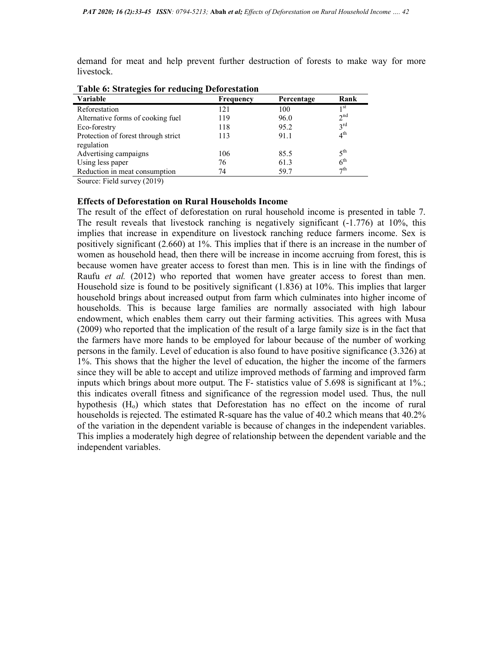demand for meat and help prevent further destruction of forests to make way for more livestock.

| Table of birangles for requesting Deforestation |                  |            |                 |  |
|-------------------------------------------------|------------------|------------|-----------------|--|
| <b>Variable</b>                                 | <b>Frequency</b> | Percentage | Rank            |  |
| Reforestation                                   | 121              | 100        | 1 <sup>st</sup> |  |
| Alternative forms of cooking fuel               | 119              | 96.0       | 2 <sup>nd</sup> |  |
| Eco-forestry                                    | 118              | 95.2       | $3^{\text{rd}}$ |  |
| Protection of forest through strict             | 113              | 91.1       | 4 <sup>th</sup> |  |
| regulation                                      |                  |            |                 |  |
| Advertising campaigns                           | 106              | 85.5       | $5^{\text{th}}$ |  |
| Using less paper                                | 76               | 61.3       | 6 <sup>th</sup> |  |
| Reduction in meat consumption                   | 74               | 59.7       | $\tau$ th       |  |

Table 6: Strategies for reducing Deforestation

Source: Field survey (2019)

### Effects of Deforestation on Rural Households Income

The result of the effect of deforestation on rural household income is presented in table 7. The result reveals that livestock ranching is negatively significant (-1.776) at 10%, this implies that increase in expenditure on livestock ranching reduce farmers income. Sex is positively significant (2.660) at 1%. This implies that if there is an increase in the number of women as household head, then there will be increase in income accruing from forest, this is because women have greater access to forest than men. This is in line with the findings of Raufu et al. (2012) who reported that women have greater access to forest than men. Household size is found to be positively significant (1.836) at 10%. This implies that larger household brings about increased output from farm which culminates into higher income of households. This is because large families are normally associated with high labour endowment, which enables them carry out their farming activities. This agrees with Musa (2009) who reported that the implication of the result of a large family size is in the fact that the farmers have more hands to be employed for labour because of the number of working persons in the family. Level of education is also found to have positive significance (3.326) at 1%. This shows that the higher the level of education, the higher the income of the farmers since they will be able to accept and utilize improved methods of farming and improved farm inputs which brings about more output. The F- statistics value of 5.698 is significant at 1%.; this indicates overall fitness and significance of the regression model used. Thus, the null hypothesis  $(H<sub>o</sub>)$  which states that Deforestation has no effect on the income of rural households is rejected. The estimated R-square has the value of 40.2 which means that 40.2% of the variation in the dependent variable is because of changes in the independent variables. This implies a moderately high degree of relationship between the dependent variable and the independent variables.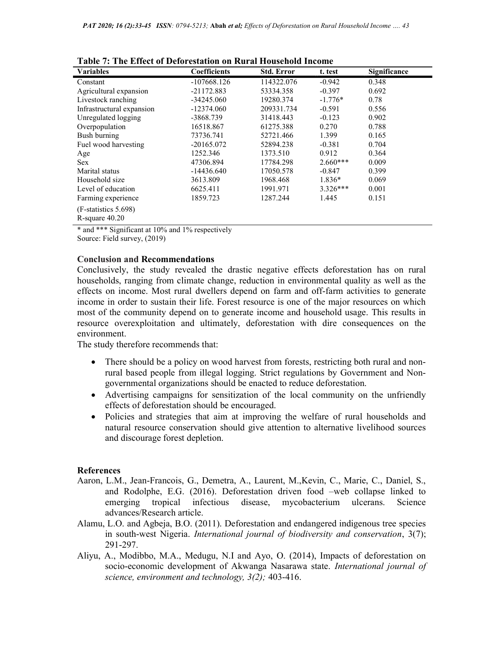| Table 7. The Effect of Deforestation on Rural Household Income |                     |                   |            |                     |  |  |
|----------------------------------------------------------------|---------------------|-------------------|------------|---------------------|--|--|
| <b>Variables</b>                                               | <b>Coefficients</b> | <b>Std. Error</b> | t. test    | <b>Significance</b> |  |  |
| Constant                                                       | $-107668.126$       | 114322.076        | $-0.942$   | 0.348               |  |  |
| Agricultural expansion                                         | $-21172.883$        | 53334.358         | $-0.397$   | 0.692               |  |  |
| Livestock ranching                                             | $-34245.060$        | 19280.374         | $-1.776*$  | 0.78                |  |  |
| Infrastructural expansion                                      | $-12374.060$        | 209331.734        | $-0.591$   | 0.556               |  |  |
| Unregulated logging                                            | -3868.739           | 31418.443         | $-0.123$   | 0.902               |  |  |
| Overpopulation                                                 | 16518.867           | 61275.388         | 0.270      | 0.788               |  |  |
| Bush burning                                                   | 73736.741           | 52721.466         | 1.399      | 0.165               |  |  |
| Fuel wood harvesting                                           | $-20165.072$        | 52894.238         | $-0.381$   | 0.704               |  |  |
| Age                                                            | 1252.346            | 1373.510          | 0.912      | 0.364               |  |  |
| <b>Sex</b>                                                     | 47306.894           | 17784.298         | $2.660***$ | 0.009               |  |  |
| Marital status                                                 | $-14436.640$        | 17050.578         | $-0.847$   | 0.399               |  |  |
| Household size                                                 | 3613.809            | 1968.468          | $1.836*$   | 0.069               |  |  |
| Level of education                                             | 6625.411            | 1991.971          | $3.326***$ | 0.001               |  |  |
| Farming experience                                             | 1859.723            | 1287.244          | 1.445      | 0.151               |  |  |
| (F-statistics 5.698)<br>$R$ -square $40.20$                    |                     |                   |            |                     |  |  |

Table 7: The Effect of Deforestation on Rural Household Income

\* and \*\*\* Significant at 10% and 1% respectively

Source: Field survey, (2019)

# Conclusion and Recommendations

Conclusively, the study revealed the drastic negative effects deforestation has on rural households, ranging from climate change, reduction in environmental quality as well as the effects on income. Most rural dwellers depend on farm and off-farm activities to generate income in order to sustain their life. Forest resource is one of the major resources on which most of the community depend on to generate income and household usage. This results in resource overexploitation and ultimately, deforestation with dire consequences on the environment.

The study therefore recommends that:

- There should be a policy on wood harvest from forests, restricting both rural and nonrural based people from illegal logging. Strict regulations by Government and Nongovernmental organizations should be enacted to reduce deforestation.
- Advertising campaigns for sensitization of the local community on the unfriendly effects of deforestation should be encouraged.
- Policies and strategies that aim at improving the welfare of rural households and natural resource conservation should give attention to alternative livelihood sources and discourage forest depletion.

# References

- Aaron, L.M., Jean-Francois, G., Demetra, A., Laurent, M.,Kevin, C., Marie, C., Daniel, S., and Rodolphe, E.G. (2016). Deforestation driven food –web collapse linked to emerging tropical infectious disease, mycobacterium ulcerans. Science advances/Research article.
- Alamu, L.O. and Agbeja, B.O. (2011). Deforestation and endangered indigenous tree species in south-west Nigeria. International journal of biodiversity and conservation, 3(7); 291-297.
- Aliyu, A., Modibbo, M.A., Medugu, N.I and Ayo, O. (2014), Impacts of deforestation on socio-economic development of Akwanga Nasarawa state. International journal of science, environment and technology, 3(2); 403-416.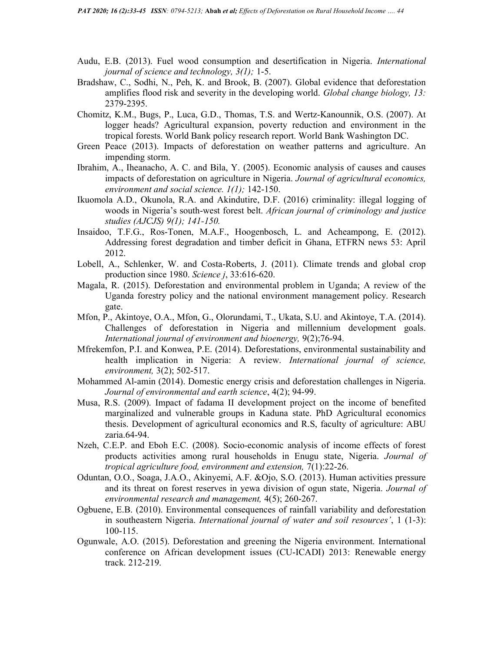- Audu, E.B. (2013). Fuel wood consumption and desertification in Nigeria. International journal of science and technology, 3(1); 1-5.
- Bradshaw, C., Sodhi, N., Peh, K. and Brook, B. (2007). Global evidence that deforestation amplifies flood risk and severity in the developing world. Global change biology, 13: 2379-2395.
- Chomitz, K.M., Bugs, P., Luca, G.D., Thomas, T.S. and Wertz-Kanounnik, O.S. (2007). At logger heads? Agricultural expansion, poverty reduction and environment in the tropical forests. World Bank policy research report. World Bank Washington DC.
- Green Peace (2013). Impacts of deforestation on weather patterns and agriculture. An impending storm.
- Ibrahim, A., Iheanacho, A. C. and Bila, Y. (2005). Economic analysis of causes and causes impacts of deforestation on agriculture in Nigeria. Journal of agricultural economics, environment and social science. 1(1); 142-150.
- Ikuomola A.D., Okunola, R.A. and Akindutire, D.F. (2016) criminality: illegal logging of woods in Nigeria's south-west forest belt. African journal of criminology and justice studies (AJCJS) 9(1); 141-150.
- Insaidoo, T.F.G., Ros-Tonen, M.A.F., Hoogenbosch, L. and Acheampong, E. (2012). Addressing forest degradation and timber deficit in Ghana, ETFRN news 53: April 2012.
- Lobell, A., Schlenker, W. and Costa-Roberts, J. (2011). Climate trends and global crop production since 1980. Science j, 33:616-620.
- Magala, R. (2015). Deforestation and environmental problem in Uganda; A review of the Uganda forestry policy and the national environment management policy. Research gate.
- Mfon, P., Akintoye, O.A., Mfon, G., Olorundami, T., Ukata, S.U. and Akintoye, T.A. (2014). Challenges of deforestation in Nigeria and millennium development goals. International journal of environment and bioenergy, 9(2);76-94.
- Mfrekemfon, P.I. and Konwea, P.E. (2014). Deforestations, environmental sustainability and health implication in Nigeria: A review. *International journal of science*, environment, 3(2); 502-517.
- Mohammed Al-amin (2014). Domestic energy crisis and deforestation challenges in Nigeria. Journal of environmental and earth science, 4(2); 94-99.
- Musa, R.S. (2009). Impact of fadama II development project on the income of benefited marginalized and vulnerable groups in Kaduna state. PhD Agricultural economics thesis. Development of agricultural economics and R.S, faculty of agriculture: ABU zaria.64-94.
- Nzeh, C.E.P. and Eboh E.C. (2008). Socio-economic analysis of income effects of forest products activities among rural households in Enugu state, Nigeria. Journal of tropical agriculture food, environment and extension, 7(1):22-26.
- Oduntan, O.O., Soaga, J.A.O., Akinyemi, A.F. &Ojo, S.O. (2013). Human activities pressure and its threat on forest reserves in yewa division of ogun state, Nigeria. Journal of environmental research and management, 4(5); 260-267.
- Ogbuene, E.B. (2010). Environmental consequences of rainfall variability and deforestation in southeastern Nigeria. International journal of water and soil resources', 1 (1-3): 100-115.
- Ogunwale, A.O. (2015). Deforestation and greening the Nigeria environment. International conference on African development issues (CU-ICADI) 2013: Renewable energy track. 212-219.